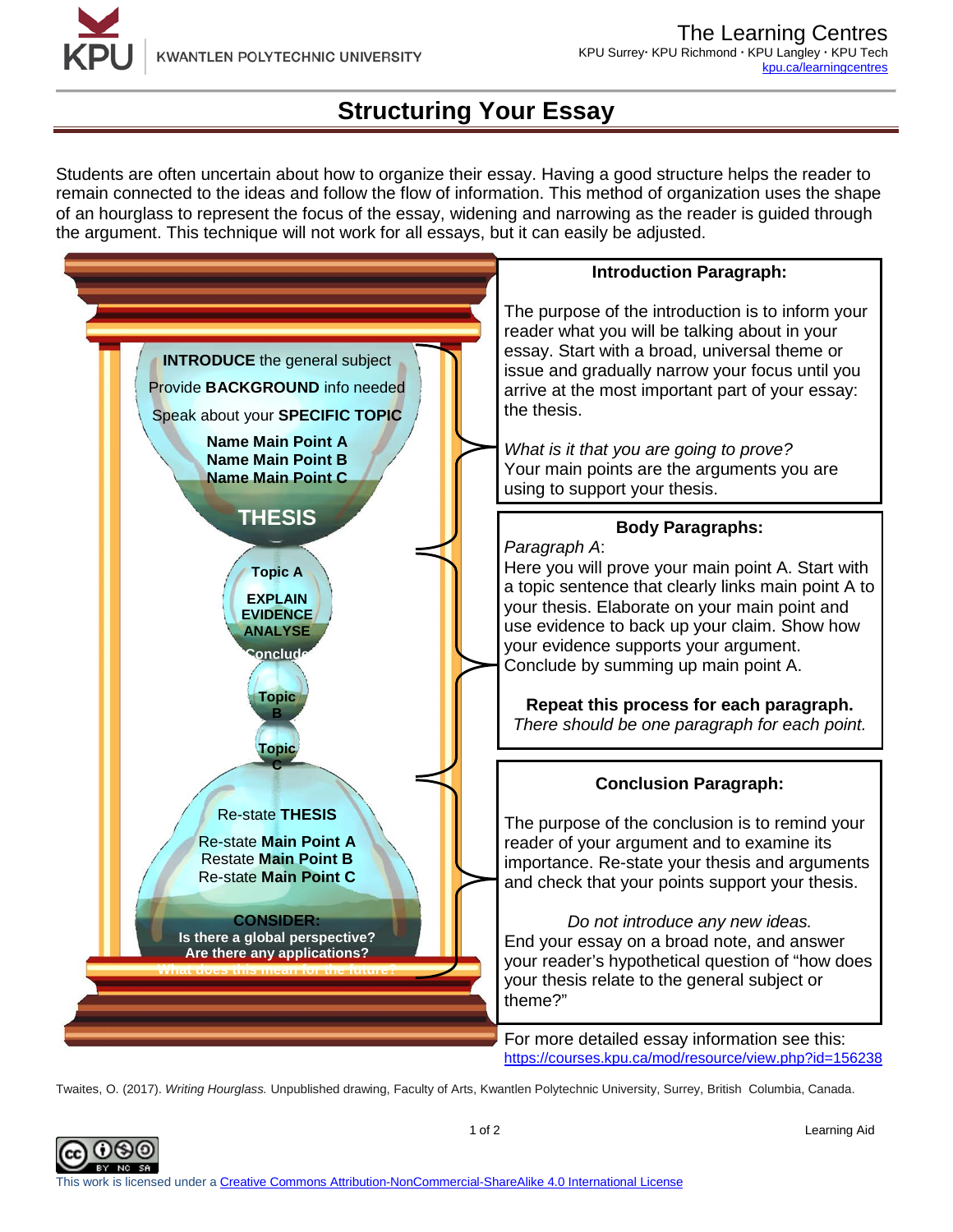

## **Structuring Your Essay**

Students are often uncertain about how to organize their essay. Having a good structure helps the reader to remain connected to the ideas and follow the flow of information. This method of organization uses the shape of an hourglass to represent the focus of the essay, widening and narrowing as the reader is guided through the argument. This technique will not work for all essays, but it can easily be adjusted.



Twaites, O. (2017). *Writing Hourglass.* Unpublished drawing, Faculty of Arts, Kwantlen Polytechnic University, Surrey, British Columbia, Canada.